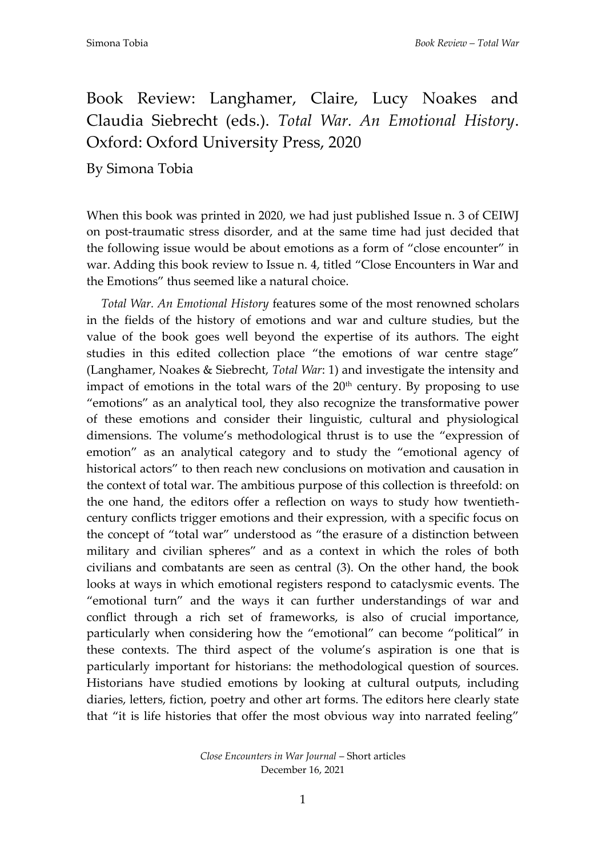## Book Review: Langhamer, Claire, Lucy Noakes and Claudia Siebrecht (eds.). *Total War. An Emotional History*. Oxford: Oxford University Press, 2020

By Simona Tobia

When this book was printed in 2020, we had just published Issue n. 3 of CEIWJ on post-traumatic stress disorder, and at the same time had just decided that the following issue would be about emotions as a form of "close encounter" in war. Adding this book review to Issue n. 4, titled "Close Encounters in War and the Emotions" thus seemed like a natural choice.

*Total War. An Emotional History* features some of the most renowned scholars in the fields of the history of emotions and war and culture studies, but the value of the book goes well beyond the expertise of its authors. The eight studies in this edited collection place "the emotions of war centre stage" (Langhamer, Noakes & Siebrecht, *Total War*: 1) and investigate the intensity and impact of emotions in the total wars of the  $20<sup>th</sup>$  century. By proposing to use "emotions" as an analytical tool, they also recognize the transformative power of these emotions and consider their linguistic, cultural and physiological dimensions. The volume's methodological thrust is to use the "expression of emotion" as an analytical category and to study the "emotional agency of historical actors" to then reach new conclusions on motivation and causation in the context of total war. The ambitious purpose of this collection is threefold: on the one hand, the editors offer a reflection on ways to study how twentiethcentury conflicts trigger emotions and their expression, with a specific focus on the concept of "total war" understood as "the erasure of a distinction between military and civilian spheres" and as a context in which the roles of both civilians and combatants are seen as central (3). On the other hand, the book looks at ways in which emotional registers respond to cataclysmic events. The "emotional turn" and the ways it can further understandings of war and conflict through a rich set of frameworks, is also of crucial importance, particularly when considering how the "emotional" can become "political" in these contexts. The third aspect of the volume's aspiration is one that is particularly important for historians: the methodological question of sources. Historians have studied emotions by looking at cultural outputs, including diaries, letters, fiction, poetry and other art forms. The editors here clearly state that "it is life histories that offer the most obvious way into narrated feeling"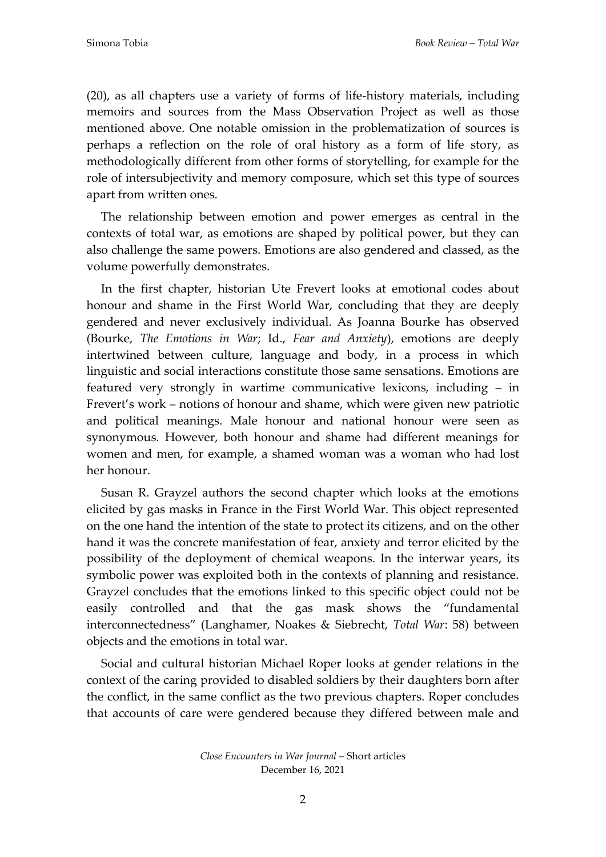(20), as all chapters use a variety of forms of life-history materials, including memoirs and sources from the Mass Observation Project as well as those mentioned above. One notable omission in the problematization of sources is perhaps a reflection on the role of oral history as a form of life story, as methodologically different from other forms of storytelling, for example for the role of intersubjectivity and memory composure, which set this type of sources apart from written ones.

The relationship between emotion and power emerges as central in the contexts of total war, as emotions are shaped by political power, but they can also challenge the same powers. Emotions are also gendered and classed, as the volume powerfully demonstrates.

In the first chapter, historian Ute Frevert looks at emotional codes about honour and shame in the First World War, concluding that they are deeply gendered and never exclusively individual. As Joanna Bourke has observed (Bourke, *The Emotions in War*; Id., *Fear and Anxiety*), emotions are deeply intertwined between culture, language and body, in a process in which linguistic and social interactions constitute those same sensations. Emotions are featured very strongly in wartime communicative lexicons, including – in Frevert's work – notions of honour and shame, which were given new patriotic and political meanings. Male honour and national honour were seen as synonymous. However, both honour and shame had different meanings for women and men, for example, a shamed woman was a woman who had lost her honour.

Susan R. Grayzel authors the second chapter which looks at the emotions elicited by gas masks in France in the First World War. This object represented on the one hand the intention of the state to protect its citizens, and on the other hand it was the concrete manifestation of fear, anxiety and terror elicited by the possibility of the deployment of chemical weapons. In the interwar years, its symbolic power was exploited both in the contexts of planning and resistance. Grayzel concludes that the emotions linked to this specific object could not be easily controlled and that the gas mask shows the "fundamental interconnectedness" (Langhamer, Noakes & Siebrecht, *Total War*: 58) between objects and the emotions in total war.

Social and cultural historian Michael Roper looks at gender relations in the context of the caring provided to disabled soldiers by their daughters born after the conflict, in the same conflict as the two previous chapters. Roper concludes that accounts of care were gendered because they differed between male and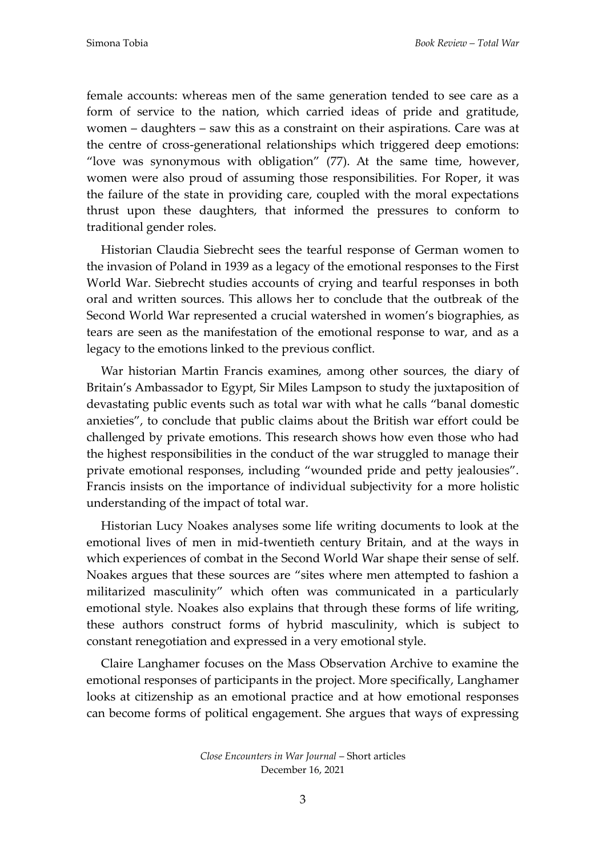female accounts: whereas men of the same generation tended to see care as a form of service to the nation, which carried ideas of pride and gratitude, women – daughters – saw this as a constraint on their aspirations. Care was at the centre of cross-generational relationships which triggered deep emotions: "love was synonymous with obligation" (77). At the same time, however, women were also proud of assuming those responsibilities. For Roper, it was the failure of the state in providing care, coupled with the moral expectations thrust upon these daughters, that informed the pressures to conform to traditional gender roles.

Historian Claudia Siebrecht sees the tearful response of German women to the invasion of Poland in 1939 as a legacy of the emotional responses to the First World War. Siebrecht studies accounts of crying and tearful responses in both oral and written sources. This allows her to conclude that the outbreak of the Second World War represented a crucial watershed in women's biographies, as tears are seen as the manifestation of the emotional response to war, and as a legacy to the emotions linked to the previous conflict.

War historian Martin Francis examines, among other sources, the diary of Britain's Ambassador to Egypt, Sir Miles Lampson to study the juxtaposition of devastating public events such as total war with what he calls "banal domestic anxieties", to conclude that public claims about the British war effort could be challenged by private emotions. This research shows how even those who had the highest responsibilities in the conduct of the war struggled to manage their private emotional responses, including "wounded pride and petty jealousies". Francis insists on the importance of individual subjectivity for a more holistic understanding of the impact of total war.

Historian Lucy Noakes analyses some life writing documents to look at the emotional lives of men in mid-twentieth century Britain, and at the ways in which experiences of combat in the Second World War shape their sense of self. Noakes argues that these sources are "sites where men attempted to fashion a militarized masculinity" which often was communicated in a particularly emotional style. Noakes also explains that through these forms of life writing, these authors construct forms of hybrid masculinity, which is subject to constant renegotiation and expressed in a very emotional style.

Claire Langhamer focuses on the Mass Observation Archive to examine the emotional responses of participants in the project. More specifically, Langhamer looks at citizenship as an emotional practice and at how emotional responses can become forms of political engagement. She argues that ways of expressing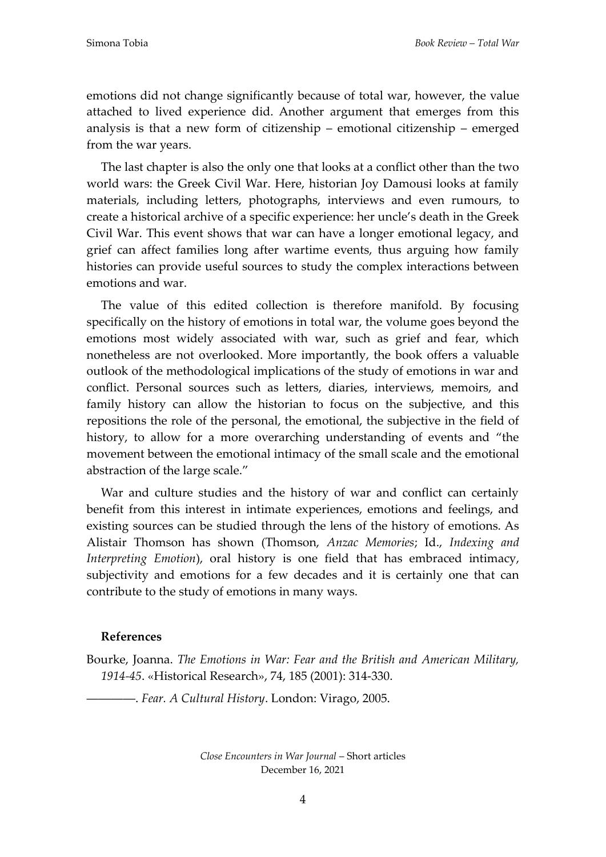emotions did not change significantly because of total war, however, the value attached to lived experience did. Another argument that emerges from this analysis is that a new form of citizenship – emotional citizenship – emerged from the war years.

The last chapter is also the only one that looks at a conflict other than the two world wars: the Greek Civil War. Here, historian Joy Damousi looks at family materials, including letters, photographs, interviews and even rumours, to create a historical archive of a specific experience: her uncle's death in the Greek Civil War. This event shows that war can have a longer emotional legacy, and grief can affect families long after wartime events, thus arguing how family histories can provide useful sources to study the complex interactions between emotions and war.

The value of this edited collection is therefore manifold. By focusing specifically on the history of emotions in total war, the volume goes beyond the emotions most widely associated with war, such as grief and fear, which nonetheless are not overlooked. More importantly, the book offers a valuable outlook of the methodological implications of the study of emotions in war and conflict. Personal sources such as letters, diaries, interviews, memoirs, and family history can allow the historian to focus on the subjective, and this repositions the role of the personal, the emotional, the subjective in the field of history, to allow for a more overarching understanding of events and "the movement between the emotional intimacy of the small scale and the emotional abstraction of the large scale."

War and culture studies and the history of war and conflict can certainly benefit from this interest in intimate experiences, emotions and feelings, and existing sources can be studied through the lens of the history of emotions. As Alistair Thomson has shown (Thomson, *Anzac Memories*; Id., *Indexing and Interpreting Emotion*), oral history is one field that has embraced intimacy, subjectivity and emotions for a few decades and it is certainly one that can contribute to the study of emotions in many ways.

## **References**

Bourke, Joanna. *The Emotions in War: Fear and the British and American Military, 1914-45*. «Historical Research», 74, 185 (2001): 314-330.

――――. *Fear. A Cultural History*. London: Virago, 2005.

*Close Encounters in War Journal* – Short articles December 16, 2021